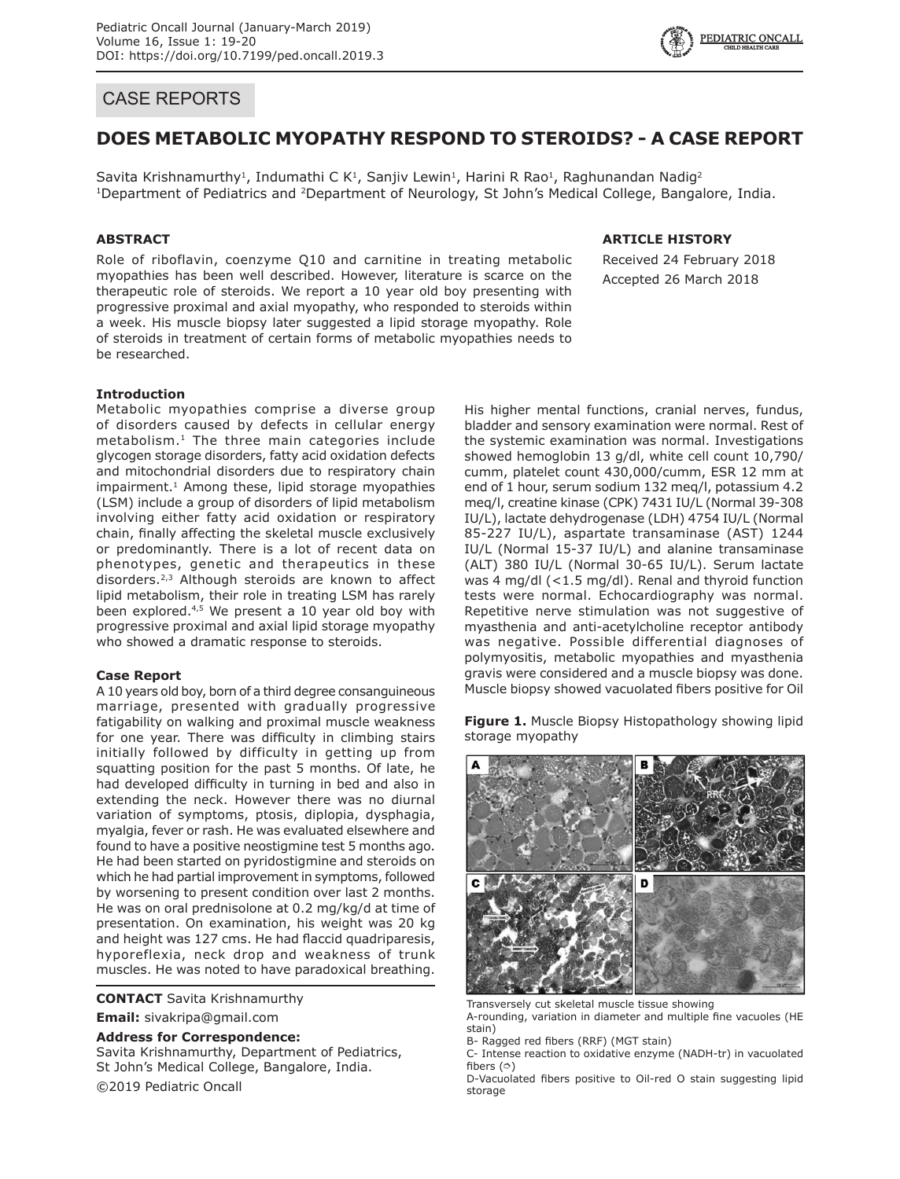# CASE REPORTS

# **DOES METABOLIC MYOPATHY RESPOND TO STEROIDS? - A CASE REPORT**

Savita Krishnamurthy<sup>1</sup>, Indumathi C K<sup>1</sup>, Sanjiv Lewin<sup>1</sup>, Harini R Rao<sup>1</sup>, Raghunandan Nadig<sup>2</sup> <sup>1</sup>Department of Pediatrics and <sup>2</sup>Department of Neurology, St John's Medical College, Bangalore, India.

## **ABSTRACT**

Role of riboflavin, coenzyme Q10 and carnitine in treating metabolic myopathies has been well described. However, literature is scarce on the therapeutic role of steroids. We report a 10 year old boy presenting with progressive proximal and axial myopathy, who responded to steroids within a week. His muscle biopsy later suggested a lipid storage myopathy. Role of steroids in treatment of certain forms of metabolic myopathies needs to be researched.

## **ARTICLE HISTORY**

Received 24 February 2018 Accepted 26 March 2018

## **Introduction**

Metabolic myopathies comprise a diverse group of disorders caused by defects in cellular energy metabolism.<sup>1</sup> The three main categories include glycogen storage disorders, fatty acid oxidation defects and mitochondrial disorders due to respiratory chain impairment.<sup>1</sup> Among these, lipid storage myopathies (LSM) include a group of disorders of lipid metabolism involving either fatty acid oxidation or respiratory chain, finally affecting the skeletal muscle exclusively or predominantly. There is a lot of recent data on phenotypes, genetic and therapeutics in these disorders.<sup>2,3</sup> Although steroids are known to affect lipid metabolism, their role in treating LSM has rarely been explored.4,5 We present a 10 year old boy with progressive proximal and axial lipid storage myopathy who showed a dramatic response to steroids.

## **Case Report**

A 10 years old boy, born of a third degree consanguineous marriage, presented with gradually progressive fatigability on walking and proximal muscle weakness for one year. There was difficulty in climbing stairs initially followed by difficulty in getting up from squatting position for the past 5 months. Of late, he had developed difficulty in turning in bed and also in extending the neck. However there was no diurnal variation of symptoms, ptosis, diplopia, dysphagia, myalgia, fever or rash. He was evaluated elsewhere and found to have a positive neostigmine test 5 months ago. He had been started on pyridostigmine and steroids on which he had partial improvement in symptoms, followed by worsening to present condition over last 2 months. He was on oral prednisolone at 0.2 mg/kg/d at time of presentation. On examination, his weight was 20 kg and height was 127 cms. He had flaccid quadriparesis, hyporeflexia, neck drop and weakness of trunk muscles. He was noted to have paradoxical breathing.

#### **CONTACT** Savita Krishnamurthy

**Email:** sivakripa@gmail.com

**Address for Correspondence:**

Savita Krishnamurthy, Department of Pediatrics, St John's Medical College, Bangalore, India. ©2019 Pediatric Oncall

His higher mental functions, cranial nerves, fundus, bladder and sensory examination were normal. Rest of the systemic examination was normal. Investigations showed hemoglobin 13 g/dl, white cell count 10,790/ cumm, platelet count 430,000/cumm, ESR 12 mm at end of 1 hour, serum sodium 132 meq/l, potassium 4.2 meq/l, creatine kinase (CPK) 7431 IU/L (Normal 39-308 IU/L), lactate dehydrogenase (LDH) 4754 IU/L (Normal 85-227 IU/L), aspartate transaminase (AST) 1244 IU/L (Normal 15-37 IU/L) and alanine transaminase (ALT) 380 IU/L (Normal 30-65 IU/L). Serum lactate was 4 mg/dl (<1.5 mg/dl). Renal and thyroid function tests were normal. Echocardiography was normal. Repetitive nerve stimulation was not suggestive of myasthenia and anti-acetylcholine receptor antibody was negative. Possible differential diagnoses of polymyositis, metabolic myopathies and myasthenia gravis were considered and a muscle biopsy was done. Muscle biopsy showed vacuolated fibers positive for Oil

**Figure 1.** Muscle Biopsy Histopathology showing lipid storage myopathy



Transversely cut skeletal muscle tissue showing

A-rounding, variation in diameter and multiple fine vacuoles (HE stain)

B- Ragged red fibers (RRF) (MGT stain)

C- Intense reaction to oxidative enzyme (NADH-tr) in vacuolated fibers  $($  $\circ$  $)$ 

D-Vacuolated fibers positive to Oil-red O stain suggesting lipid storage